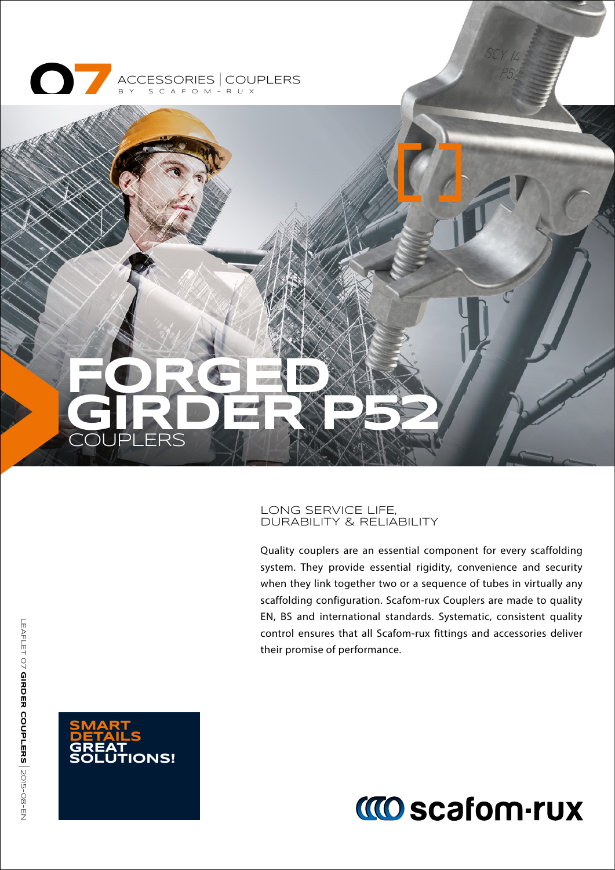



### LONG SERVICE LIFE, DURABILITY & RELIABILITY

Quality couplers are an essential component for every scaffolding system. They provide essential rigidity, convenience and security when they link together two or a sequence of tubes in virtually any scaffolding configuration. Scafom-rux Couplers are made to quality EN, BS and international standards. Systematic, consistent quality control ensures that all Scafom-rux fittings and accessories deliver their promise of performance.



# **MO scafom-rux**